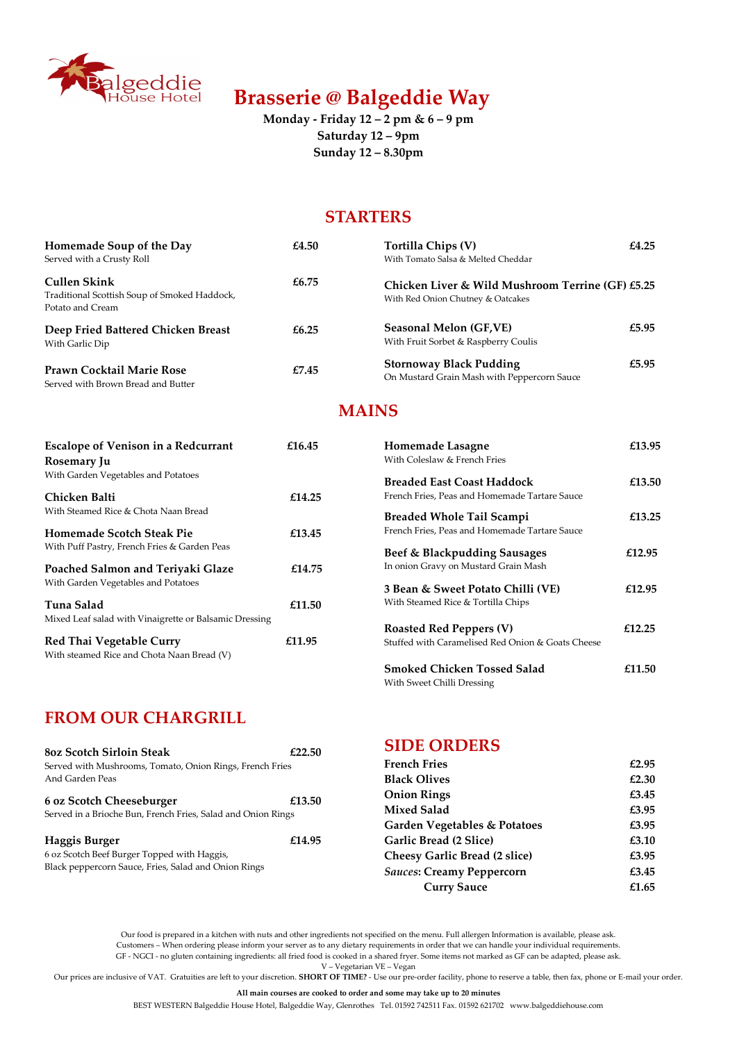Our food is prepared in a kitchen with nuts and other ingredients not specified on the menu. Full allergen Information is available, please ask. Customers – When ordering please inform your server as to any dietary requirements in order that we can handle your individual requirements. GF - NGCI - no gluten containing ingredients: all fried food is cooked in a shared fryer. Some items not marked as GF can be adapted, please ask. V – Vegetarian VE – Vegan

Our prices are inclusive of VAT. Gratuities are left to your discretion. SHORT OF TIME? - Use our pre-order facility, phone to reserve a table, then fax, phone or E-mail your order.

All main courses are cooked to order and some may take up to 20 minutes

BEST WESTERN Balgeddie House Hotel, Balgeddie Way, Glenrothes Tel. 01592 742511 Fax. 01592 621702 www.balgeddiehouse.com



# Brasserie @ Balgeddie Way

Monday - Friday 12 – 2 pm & 6 – 9 pm Saturday 12 – 9pm Sunday 12 – 8.30pm

## **STARTERS**

| Homemade Soup of the Day                                                                | £4.50 | <b>Tortilla Chips (V)</b>                                                             | £4.25 |
|-----------------------------------------------------------------------------------------|-------|---------------------------------------------------------------------------------------|-------|
| Served with a Crusty Roll                                                               |       | With Tomato Salsa & Melted Cheddar                                                    |       |
| <b>Cullen Skink</b><br>Traditional Scottish Soup of Smoked Haddock,<br>Potato and Cream | £6.75 | Chicken Liver & Wild Mushroom Terrine (GF) £5.25<br>With Red Onion Chutney & Oatcakes |       |
| Deep Fried Battered Chicken Breast<br>With Garlic Dip                                   | £6.25 | <b>Seasonal Melon (GF, VE)</b><br>With Fruit Sorbet & Raspberry Coulis                | £5.95 |
| <b>Prawn Cocktail Marie Rose</b><br>Served with Brown Bread and Butter                  | £7.45 | <b>Stornoway Black Pudding</b><br>On Mustard Grain Mash with Peppercorn Sauce         | £5.95 |

### MAINS

## FROM OUR CHARGRILL

#### 6 oz Scotch Cheeseburger £13.50

| <b>Escalope of Venison in a Redcurrant</b><br>Rosemary Ju                     | £16.45 | Homemade Lasagne<br>With Coleslaw & French Fries                                    | £13.95 |
|-------------------------------------------------------------------------------|--------|-------------------------------------------------------------------------------------|--------|
| With Garden Vegetables and Potatoes<br>Chicken Balti                          | £14.25 | <b>Breaded East Coast Haddock</b><br>French Fries, Peas and Homemade Tartare Sauce  | £13.50 |
| With Steamed Rice & Chota Naan Bread                                          |        | <b>Breaded Whole Tail Scampi</b>                                                    | £13.25 |
| <b>Homemade Scotch Steak Pie</b>                                              | £13.45 | French Fries, Peas and Homemade Tartare Sauce                                       |        |
| With Puff Pastry, French Fries & Garden Peas                                  |        | Beef & Blackpudding Sausages                                                        | £12.95 |
| Poached Salmon and Teriyaki Glaze                                             | £14.75 | In onion Gravy on Mustard Grain Mash                                                |        |
| With Garden Vegetables and Potatoes                                           |        | 3 Bean & Sweet Potato Chilli (VE)                                                   | £12.95 |
| Tuna Salad                                                                    | £11.50 | With Steamed Rice & Tortilla Chips                                                  |        |
| Mixed Leaf salad with Vinaigrette or Balsamic Dressing                        |        |                                                                                     |        |
| <b>Red Thai Vegetable Curry</b><br>With steamed Rice and Chota Naan Bread (V) | £11.95 | <b>Roasted Red Peppers (V)</b><br>Stuffed with Caramelised Red Onion & Goats Cheese | £12.25 |
|                                                                               |        | <b>Smoked Chicken Tossed Salad</b>                                                  | £11.50 |

Served in a Brioche Bun, French Fries, Salad and Onion Rings

#### Haggis Burger  $£14.95$

6 oz Scotch Beef Burger Topped with Haggis, Black peppercorn Sauce, Fries, Salad and Onion Rings

| <b>Onion Rings</b>                      | £3.45 |
|-----------------------------------------|-------|
| <b>Mixed Salad</b>                      | £3.95 |
| <b>Garden Vegetables &amp; Potatoes</b> | £3.95 |
| <b>Garlic Bread (2 Slice)</b>           | £3.10 |
| <b>Cheesy Garlic Bread (2 slice)</b>    | £3.95 |
| <b>Sauces: Creamy Peppercorn</b>        | £3.45 |
| <b>Curry Sauce</b>                      | £1.65 |

| 80z Scotch Sirloin Steak                                 | £22.50 | <b>SIDE UKDEKS</b>  |       |
|----------------------------------------------------------|--------|---------------------|-------|
| Served with Mushrooms, Tomato, Onion Rings, French Fries |        | <b>French Fries</b> | £2.95 |
| And Garden Peas                                          |        | <b>Black Olives</b> | £2.30 |

With Sweet Chilli Dressing

CIDE ORDERS